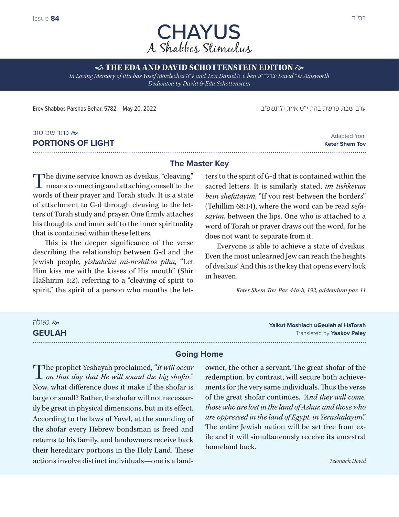

**STHE EDA AND DAVID SCHOTTENSTEIN EDITION**  $\approx$ *In Loving Memory of Itta bas Yosef Mordechai* ה"ע *and Tzvi Daniel* ה"ע *ben* ט"יבדלח *David* 'שי *Ainsworth Dedicated by David & Eda Schottenstein*

ערב שבת פרשת בהר, י"ט אייר, ה'תשפ״ב 2021 - 2023 2024 2012 2014 20, Erev Shabbos Parshas Behar, 5782 – May 20

# כתר שם טוב **PORTIONS OF LIGHT**

# **The Master Key**

The divine service known as dveikus, "cleaving," **L** means connecting and attaching oneself to the words of their prayer and Torah study. It is a state of attachment to G-d through cleaving to the letters of Torah study and prayer. One firmly attaches his thoughts and inner self to the inner spirituality that is contained within these letters.

This is the deeper significance of the verse describing the relationship between G-d and the Jewish people, *yishakeini mi-neshikos pihu*, "Let Him kiss me with the kisses of His mouth" (Shir HaShirim 1:2), referring to a "cleaving of spirit to spirit," the spirit of a person who mouths the letters to the spirit of G-d that is contained within the sacred letters. It is similarly stated, *im tishkevun bein shefatayim*, "If you rest between the borders" (Tehillim 68:14), where the word can be read *sefasayim*, between the lips. One who is attached to a word of Torah or prayer draws out the word, for he does not want to separate from it.

Everyone is able to achieve a state of dveikus. Even the most unlearned Jew can reach the heights of dveikus! And this is the key that opens every lock in heaven.

*Keter Shem Tov, Par. 44a-b, 192, addendum par. 11*

## גאולה

**GEULAH**

**Yalkut Moshiach uGeulah al HaTorah** Translated by **Yaakov Paley**

### **Going Home**

The prophet Yeshayah proclaimed, "*It will occur on that day that He will sound the big shofar*." Now, what difference does it make if the shofar is large or small? Rather, the shofar will not necessarily be great in physical dimensions, but in its effect. According to the laws of Yovel, at the sounding of the shofar every Hebrew bondsman is freed and returns to his family, and landowners receive back their hereditary portions in the Holy Land. These actions involve distinct individuals—one is a land-

owner, the other a servant. The great shofar of the redemption, by contrast, will secure both achievements for the very same individuals. Thus the verse of the great shofar continues, *"And they will come, those who are lost in the land of Ashur, and those who are oppressed in the land of Egypt, in Yerushalayim*." The entire Jewish nation will be set free from exile and it will simultaneously receive its ancestral homeland back.

Adapted from **Keter Shem Tov**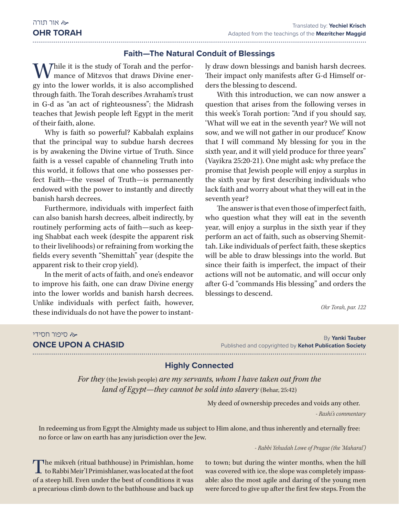### **Faith—The Natural Conduit of Blessings**

M 7hile it is the study of Torah and the performance of Mitzvos that draws Divine energy into the lower worlds, it is also accomplished through faith. The Torah describes Avraham's trust in G-d as "an act of righteousness"; the Midrash teaches that Jewish people left Egypt in the merit of their faith, alone.

Why is faith so powerful? Kabbalah explains that the principal way to subdue harsh decrees is by awakening the Divine virtue of Truth. Since faith is a vessel capable of channeling Truth into this world, it follows that one who possesses perfect Faith—the vessel of Truth—is permanently endowed with the power to instantly and directly banish harsh decrees.

Furthermore, individuals with imperfect faith can also banish harsh decrees, albeit indirectly, by routinely performing acts of faith—such as keeping Shabbat each week (despite the apparent risk to their livelihoods) or refraining from working the fields every seventh "Shemittah" year (despite the apparent risk to their crop yield).

In the merit of acts of faith, and one's endeavor to improve his faith, one can draw Divine energy into the lower worlds and banish harsh decrees. Unlike individuals with perfect faith, however, these individuals do not have the power to instantly draw down blessings and banish harsh decrees. Their impact only manifests after G-d Himself orders the blessing to descend.

With this introduction, we can now answer a question that arises from the following verses in this week's Torah portion: "And if you should say, 'What will we eat in the seventh year? We will not sow, and we will not gather in our produce!' Know that I will command My blessing for you in the sixth year, and it will yield produce for three years" (Vayikra 25:20-21). One might ask: why preface the promise that Jewish people will enjoy a surplus in the sixth year by first describing individuals who lack faith and worry about what they will eat in the seventh year?

The answer is that even those of imperfect faith, who question what they will eat in the seventh year, will enjoy a surplus in the sixth year if they perform an act of faith, such as observing Shemittah. Like individuals of perfect faith, these skeptics will be able to draw blessings into the world. But since their faith is imperfect, the impact of their actions will not be automatic, and will occur only after G-d "commands His blessing" and orders the blessings to descend.

*Ohr Torah, par. 122*

#### סיפור חסידי

**ONCE UPON A CHASID**

By **Yanki Tauber** Published and copyrighted by **Kehot Publication Society** 

### **Highly Connected**

*For they* (the Jewish people) *are my servants, whom I have taken out from the land of Egypt—they cannot be sold into slavery (Behar, 25:42)* 

My deed of ownership precedes and voids any other.

*- Rashi's commentary*

In redeeming us from Egypt the Almighty made us subject to Him alone, and thus inherently and eternally free: no force or law on earth has any jurisdiction over the Jew.

*- Rabbi Yehudah Lowe of Prague (the 'Maharal')*

The mikveh (ritual bathhouse) in Primishlan, home<br>to Rabbi Meir'l Primishlaner, was located at the foot of a steep hill. Even under the best of conditions it was a precarious climb down to the bathhouse and back up

to town; but during the winter months, when the hill was covered with ice, the slope was completely impassable: also the most agile and daring of the young men were forced to give up after the first few steps. From the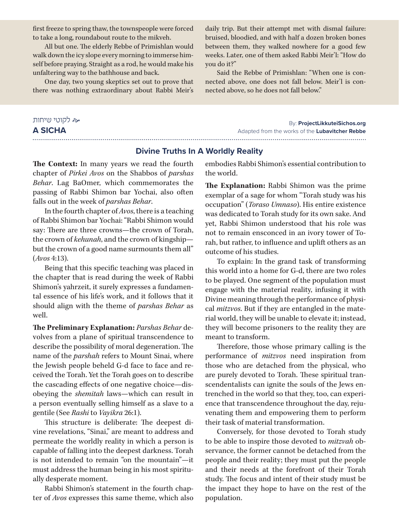first freeze to spring thaw, the townspeople were forced to take a long, roundabout route to the mikveh.

All but one. The elderly Rebbe of Primishlan would walk down the icy slope every morning to immerse himself before praying. Straight as a rod, he would make his unfaltering way to the bathhouse and back.

One day, two young skeptics set out to prove that there was nothing extraordinary about Rabbi Meir's

daily trip. But their attempt met with dismal failure: bruised, bloodied, and with half a dozen broken bones between them, they walked nowhere for a good few weeks. Later, one of them asked Rabbi Meir'l: "How do you do it?"

Said the Rebbe of Primishlan: "When one is connected above, one does not fall below. Meir'l is connected above, so he does not fall below."

# לקוטי שיחות **A SICHA**

#### By: **ProjectLikkuteiSichos.org** Adapted from the works of the **Lubavitcher Rebbe**

#### **Divine Truths In A Worldly Reality**

**The Context:** In many years we read the fourth chapter of *Pirkei Avos* on the Shabbos of *parshas Behar*. Lag BaOmer, which commemorates the passing of Rabbi Shimon bar Yochai, also often falls out in the week of *parshas Behar*.

In the fourth chapter of *Avos*, there is a teaching of Rabbi Shimon bar Yochai: "Rabbi Shimon would say: There are three crowns—the crown of Torah, the crown of *kehunah*, and the crown of kingship but the crown of a good name surmounts them all" (*Avos* 4:13).

Being that this specific teaching was placed in the chapter that is read during the week of Rabbi Shimon's yahrzeit, it surely expresses a fundamental essence of his life's work, and it follows that it should align with the theme of *parshas Behar* as well.

**The Preliminary Explanation:** *Parshas Behar* devolves from a plane of spiritual transcendence to describe the possibility of moral degeneration. The name of the *parshah* refers to Mount Sinai, where the Jewish people beheld G-d face to face and received the Torah. Yet the Torah goes on to describe the cascading effects of one negative choice—disobeying the *shemitah* laws—which can result in a person eventually selling himself as a slave to a gentile (See *Rashi* to *Vayikra* 26:1).

This structure is deliberate: The deepest divine revelations, "Sinai," are meant to address and permeate the worldly reality in which a person is capable of falling into the deepest darkness. Torah is not intended to remain "on the mountain"—it must address the human being in his most spiritually desperate moment.

Rabbi Shimon's statement in the fourth chapter of *Avos* expresses this same theme, which also embodies Rabbi Shimon's essential contribution to the world.

**The Explanation:** Rabbi Shimon was the prime exemplar of a sage for whom "Torah study was his occupation" (*Toraso Umnaso*). His entire existence was dedicated to Torah study for its own sake. And yet, Rabbi Shimon understood that his role was not to remain ensconced in an ivory tower of Torah, but rather, to influence and uplift others as an outcome of his studies.

To explain: In the grand task of transforming this world into a home for G-d, there are two roles to be played. One segment of the population must engage with the material reality, infusing it with Divine meaning through the performance of physical *mitzvos*. But if they are entangled in the material world, they will be unable to elevate it; instead, they will become prisoners to the reality they are meant to transform.

Therefore, those whose primary calling is the performance of *mitzvos* need inspiration from those who are detached from the physical, who are purely devoted to Torah. These spiritual transcendentalists can ignite the souls of the Jews entrenched in the world so that they, too, can experience that transcendence throughout the day, rejuvenating them and empowering them to perform their task of material transformation.

Conversely, for those devoted to Torah study to be able to inspire those devoted to *mitzvah* observance, the former cannot be detached from the people and their reality; they must put the people and their needs at the forefront of their Torah study. The focus and intent of their study must be the impact they hope to have on the rest of the population.